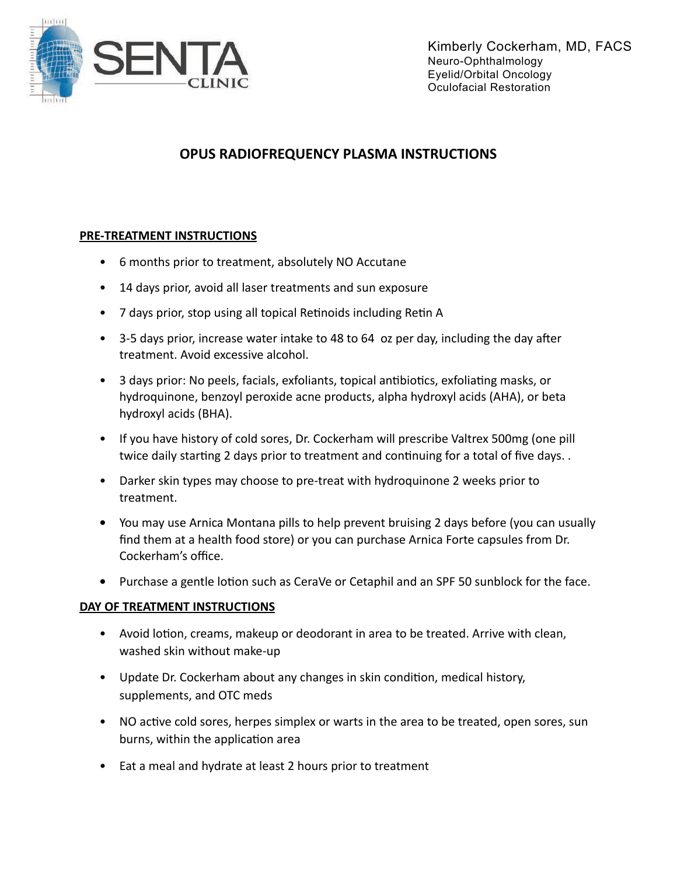

## OPUS RADIOFREQUENCY PLASMA INSTRUCTIONS

## **PRE-TREATMENT INSTRUCTIONS**

- 6 months prior to treatment, absolutely NO Accutane
- 14 days prior, avoid all laser treatments and sun exposure
- 7 days prior, stop using all topical Retinoids including Retin A
- 3-5 days prior, increase water intake to 48 to 64 oz per day, including the day after treatment. Avoid excessive alcohol.
- 3 days prior: No peels, facials, exfoliants, topical antibiotics, exfoliating masks, or hydroguinone, benzoyl peroxide acne products, alpha hydroxyl acids (AHA), or beta hydroxyl acids (BHA).
- If you have history of cold sores, Dr. Cockerham will prescribe Valtrex 500mg (one pill twice daily starting 2 days prior to treatment and continuing for a total of five days..
- Darker skin types may choose to pre-treat with hydroquinone 2 weeks prior to treatment.
- You may use Arnica Montana pills to help prevent bruising 2 days before (you can usually find them at a health food store) or you can purchase Arnica Forte capsules from Dr. Cockerham's office.
- Purchase a gentle lotion such as CeraVe or Cetaphil and an SPF 50 sunblock for the face.

## DAY OF TREATMENT INSTRUCTIONS

- Avoid lotion, creams, makeup or deodorant in area to be treated. Arrive with clean, washed skin without make-up
- Update Dr. Cockerham about any changes in skin condition, medical history, supplements, and OTC meds
- NO active cold sores, herpes simplex or warts in the area to be treated, open sores, sun burns, within the application area
- Eat a meal and hydrate at least 2 hours prior to treatment